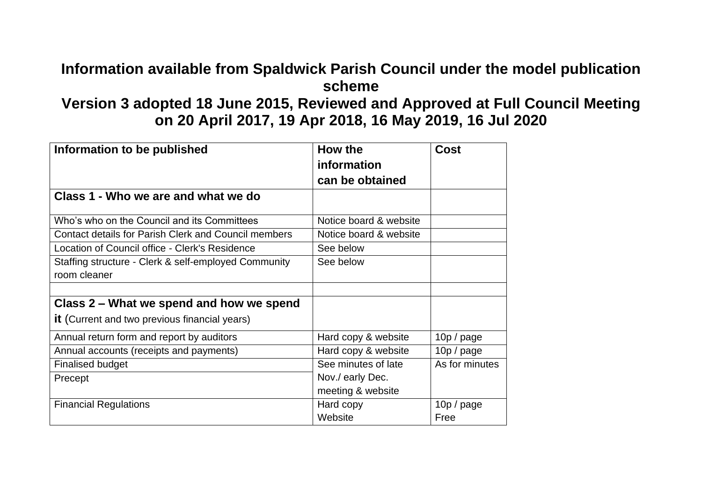## **Information available from Spaldwick Parish Council under the model publication scheme**

## **Version 3 adopted 18 June 2015, Reviewed and Approved at Full Council Meeting on 20 April 2017, 19 Apr 2018, 16 May 2019, 16 Jul 2020**

| Information to be published                                 | How the<br>information            | <b>Cost</b>    |
|-------------------------------------------------------------|-----------------------------------|----------------|
|                                                             | can be obtained                   |                |
| Class 1 - Who we are and what we do                         |                                   |                |
| Who's who on the Council and its Committees                 | Notice board & website            |                |
| <b>Contact details for Parish Clerk and Council members</b> | Notice board & website            |                |
| Location of Council office - Clerk's Residence              | See below                         |                |
| Staffing structure - Clerk & self-employed Community        | See below                         |                |
| room cleaner                                                |                                   |                |
|                                                             |                                   |                |
| Class 2 – What we spend and how we spend                    |                                   |                |
| <b>it</b> (Current and two previous financial years)        |                                   |                |
| Annual return form and report by auditors                   | Hard copy & website<br>10p / page |                |
| Annual accounts (receipts and payments)                     | Hard copy & website<br>10p / page |                |
| <b>Finalised budget</b>                                     | See minutes of late               | As for minutes |
| Precept                                                     | Nov./ early Dec.                  |                |
|                                                             | meeting & website                 |                |
| <b>Financial Regulations</b>                                | Hard copy                         | 10p / page     |
|                                                             | Website                           | Free           |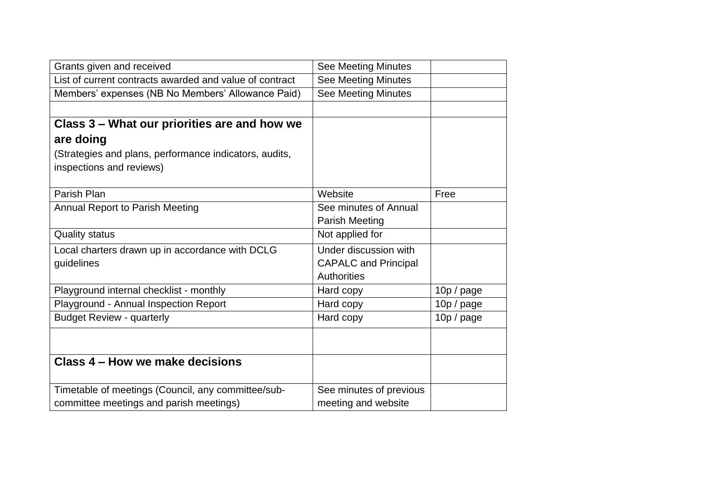| Grants given and received                               | <b>See Meeting Minutes</b>  |            |
|---------------------------------------------------------|-----------------------------|------------|
| List of current contracts awarded and value of contract | <b>See Meeting Minutes</b>  |            |
| Members' expenses (NB No Members' Allowance Paid)       | <b>See Meeting Minutes</b>  |            |
|                                                         |                             |            |
| Class 3 – What our priorities are and how we            |                             |            |
| are doing                                               |                             |            |
| (Strategies and plans, performance indicators, audits,  |                             |            |
| inspections and reviews)                                |                             |            |
|                                                         |                             |            |
| Parish Plan                                             | Website                     | Free       |
| <b>Annual Report to Parish Meeting</b>                  | See minutes of Annual       |            |
|                                                         | <b>Parish Meeting</b>       |            |
| <b>Quality status</b>                                   | Not applied for             |            |
| Local charters drawn up in accordance with DCLG         | Under discussion with       |            |
| guidelines                                              | <b>CAPALC and Principal</b> |            |
|                                                         | <b>Authorities</b>          |            |
| Playground internal checklist - monthly                 | Hard copy                   | 10p / page |
| Playground - Annual Inspection Report                   | Hard copy                   | 10p / page |
| <b>Budget Review - quarterly</b>                        | Hard copy                   | 10p / page |
|                                                         |                             |            |
|                                                         |                             |            |
| Class 4 – How we make decisions                         |                             |            |
| Timetable of meetings (Council, any committee/sub-      | See minutes of previous     |            |
| committee meetings and parish meetings)                 | meeting and website         |            |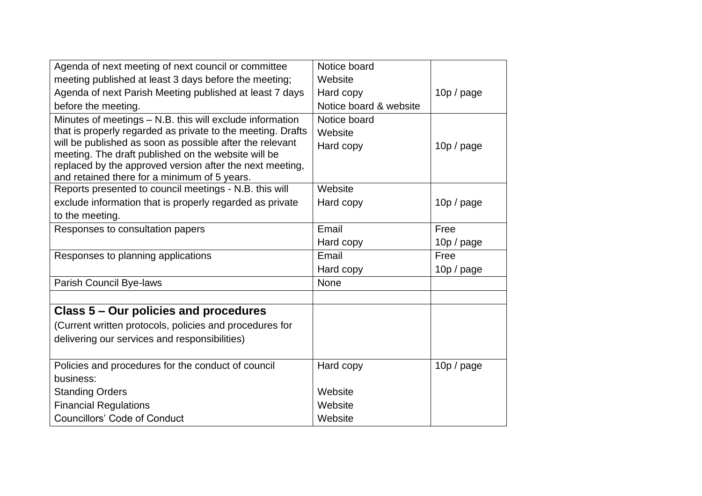| Agenda of next meeting of next council or committee                                                                                                                                                                                        | Notice board                         |            |
|--------------------------------------------------------------------------------------------------------------------------------------------------------------------------------------------------------------------------------------------|--------------------------------------|------------|
| meeting published at least 3 days before the meeting;                                                                                                                                                                                      | Website                              |            |
| Agenda of next Parish Meeting published at least 7 days                                                                                                                                                                                    | Hard copy                            | 10p / page |
| before the meeting.                                                                                                                                                                                                                        | Notice board & website               |            |
| Minutes of meetings - N.B. this will exclude information<br>that is properly regarded as private to the meeting. Drafts<br>will be published as soon as possible after the relevant<br>meeting. The draft published on the website will be | Notice board<br>Website<br>Hard copy | 10p / page |
| replaced by the approved version after the next meeting,<br>and retained there for a minimum of 5 years.                                                                                                                                   |                                      |            |
| Reports presented to council meetings - N.B. this will                                                                                                                                                                                     | Website                              |            |
| exclude information that is properly regarded as private                                                                                                                                                                                   | Hard copy                            | 10p / page |
| to the meeting.                                                                                                                                                                                                                            |                                      |            |
| Responses to consultation papers                                                                                                                                                                                                           | Email                                | Free       |
|                                                                                                                                                                                                                                            | Hard copy                            | 10p / page |
| Responses to planning applications                                                                                                                                                                                                         | Email                                | Free       |
|                                                                                                                                                                                                                                            | Hard copy                            | 10p / page |
| Parish Council Bye-laws                                                                                                                                                                                                                    | None                                 |            |
|                                                                                                                                                                                                                                            |                                      |            |
| Class 5 – Our policies and procedures                                                                                                                                                                                                      |                                      |            |
| (Current written protocols, policies and procedures for                                                                                                                                                                                    |                                      |            |
| delivering our services and responsibilities)                                                                                                                                                                                              |                                      |            |
| Policies and procedures for the conduct of council                                                                                                                                                                                         | Hard copy                            | 10p / page |
| business:                                                                                                                                                                                                                                  |                                      |            |
| <b>Standing Orders</b>                                                                                                                                                                                                                     | Website                              |            |
| <b>Financial Regulations</b>                                                                                                                                                                                                               | Website                              |            |
| <b>Councillors' Code of Conduct</b>                                                                                                                                                                                                        | Website                              |            |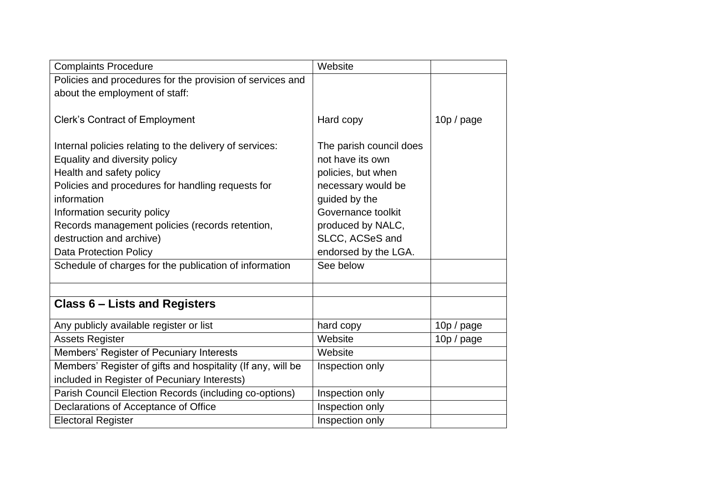| <b>Complaints Procedure</b>                                 | Website                 |            |
|-------------------------------------------------------------|-------------------------|------------|
| Policies and procedures for the provision of services and   |                         |            |
| about the employment of staff:                              |                         |            |
|                                                             |                         |            |
| <b>Clerk's Contract of Employment</b>                       | Hard copy               | 10p / page |
|                                                             |                         |            |
| Internal policies relating to the delivery of services:     | The parish council does |            |
| Equality and diversity policy                               | not have its own        |            |
| Health and safety policy                                    | policies, but when      |            |
| Policies and procedures for handling requests for           | necessary would be      |            |
| information                                                 | guided by the           |            |
| Information security policy                                 | Governance toolkit      |            |
| Records management policies (records retention,             | produced by NALC,       |            |
| destruction and archive)                                    | SLCC, ACSeS and         |            |
| <b>Data Protection Policy</b>                               | endorsed by the LGA.    |            |
| Schedule of charges for the publication of information      | See below               |            |
|                                                             |                         |            |
|                                                             |                         |            |
| <b>Class 6 - Lists and Registers</b>                        |                         |            |
| Any publicly available register or list                     | hard copy               | 10p / page |
| <b>Assets Register</b>                                      | Website                 | 10p / page |
| Members' Register of Pecuniary Interests                    | Website                 |            |
| Members' Register of gifts and hospitality (If any, will be | Inspection only         |            |
| included in Register of Pecuniary Interests)                |                         |            |
| Parish Council Election Records (including co-options)      | Inspection only         |            |
| Declarations of Acceptance of Office                        | Inspection only         |            |
| <b>Electoral Register</b>                                   | Inspection only         |            |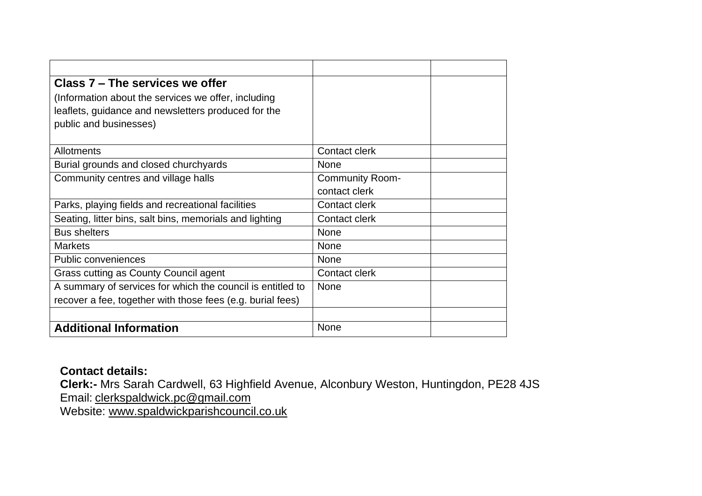| Class 7 – The services we offer                            |                        |
|------------------------------------------------------------|------------------------|
| (Information about the services we offer, including        |                        |
| leaflets, guidance and newsletters produced for the        |                        |
| public and businesses)                                     |                        |
|                                                            |                        |
| <b>Allotments</b>                                          | Contact clerk          |
| Burial grounds and closed churchyards                      | None                   |
| Community centres and village halls                        | <b>Community Room-</b> |
|                                                            | contact clerk          |
| Parks, playing fields and recreational facilities          | Contact clerk          |
| Seating, litter bins, salt bins, memorials and lighting    | <b>Contact clerk</b>   |
| <b>Bus shelters</b>                                        | None                   |
| <b>Markets</b>                                             | <b>None</b>            |
| <b>Public conveniences</b>                                 | None                   |
| Grass cutting as County Council agent                      | Contact clerk          |
| A summary of services for which the council is entitled to | None                   |
| recover a fee, together with those fees (e.g. burial fees) |                        |
|                                                            |                        |
| <b>Additional Information</b>                              | None                   |

## **Contact details:**

**Clerk:-** Mrs Sarah Cardwell, 63 Highfield Avenue, Alconbury Weston, Huntingdon, PE28 4JS Email: [clerkspaldwick.pc@gmail.com](mailto:clerkspaldwick.pc@gmail.com)

Website: [www.spaldwickparishcouncil.co.uk](http://www.spaldwickparishcouncil.co.uk/)